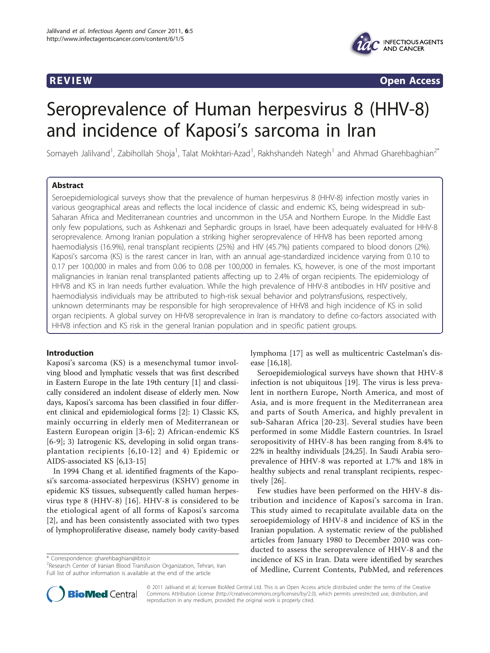

**REVIEW CONSTRUCTION CONSTRUCTION CONSTRUCTS** 

# Seroprevalence of Human herpesvirus 8 (HHV-8) and incidence of Kaposi's sarcoma in Iran

Somayeh Jalilvand<sup>1</sup>, Zabihollah Shoja<sup>1</sup>, Talat Mokhtari-Azad<sup>1</sup>, Rakhshandeh Nategh<sup>1</sup> and Ahmad Gharehbaghian<sup>2\*</sup>

# Abstract

Seroepidemiological surveys show that the prevalence of human herpesvirus 8 (HHV-8) infection mostly varies in various geographical areas and reflects the local incidence of classic and endemic KS, being widespread in sub-Saharan Africa and Mediterranean countries and uncommon in the USA and Northern Europe. In the Middle East only few populations, such as Ashkenazi and Sephardic groups in Israel, have been adequately evaluated for HHV-8 seroprevalence. Among Iranian population a striking higher seroprevalence of HHV8 has been reported among haemodialysis (16.9%), renal transplant recipients (25%) and HIV (45.7%) patients compared to blood donors (2%). Kaposi's sarcoma (KS) is the rarest cancer in Iran, with an annual age-standardized incidence varying from 0.10 to 0.17 per 100,000 in males and from 0.06 to 0.08 per 100,000 in females. KS, however, is one of the most important malignancies in Iranian renal transplanted patients affecting up to 2.4% of organ recipients. The epidemiology of HHV8 and KS in Iran needs further evaluation. While the high prevalence of HHV-8 antibodies in HIV positive and haemodialysis individuals may be attributed to high-risk sexual behavior and polytransfusions, respectively, unknown determinants may be responsible for high seroprevalence of HHV8 and high incidence of KS in solid organ recipients. A global survey on HHV8 seroprevalence in Iran is mandatory to define co-factors associated with HHV8 infection and KS risk in the general Iranian population and in specific patient groups.

# Introduction

Kaposi's sarcoma (KS) is a mesenchymal tumor involving blood and lymphatic vessels that was first described in Eastern Europe in the late 19th century [\[1](#page-3-0)] and classically considered an indolent disease of elderly men. Now days, Kaposi's sarcoma has been classified in four different clinical and epidemiological forms [[2](#page-3-0)]: 1) Classic KS, mainly occurring in elderly men of Mediterranean or Eastern European origin [\[3-6](#page-3-0)]; 2) African-endemic KS [[6-9\]](#page-3-0); 3) Iatrogenic KS, developing in solid organ transplantation recipients [[6,10](#page-3-0)-[12\]](#page-3-0) and 4) Epidemic or AIDS-associated KS [[6,13](#page-3-0)-[15\]](#page-3-0)

In 1994 Chang et al. identified fragments of the Kaposi's sarcoma-associated herpesvirus (KSHV) genome in epidemic KS tissues, subsequently called human herpesvirus type 8 (HHV-8) [\[16\]](#page-3-0). HHV-8 is considered to be the etiological agent of all forms of Kaposi's sarcoma [[2\]](#page-3-0), and has been consistently associated with two types of lymphoproliferative disease, namely body cavity-based

\* Correspondence: [gharehbaghian@ibto.ir](mailto:gharehbaghian@ibto.ir)



Seroepidemiological surveys have shown that HHV-8 infection is not ubiquitous [\[19](#page-4-0)]. The virus is less prevalent in northern Europe, North America, and most of Asia, and is more frequent in the Mediterranean area and parts of South America, and highly prevalent in sub-Saharan Africa [\[20-23\]](#page-4-0). Several studies have been performed in some Middle Eastern countries. In Israel seropositivity of HHV-8 has been ranging from 8.4% to 22% in healthy individuals [\[24,25](#page-4-0)]. In Saudi Arabia seroprevalence of HHV-8 was reported at 1.7% and 18% in healthy subjects and renal transplant recipients, respectively [[26](#page-4-0)].

Few studies have been performed on the HHV-8 distribution and incidence of Kaposi's sarcoma in Iran. This study aimed to recapitulate available data on the seroepidemiology of HHV-8 and incidence of KS in the Iranian population. A systematic review of the published articles from January 1980 to December 2010 was conducted to assess the seroprevalence of HHV-8 and the incidence of KS in Iran. Data were identified by searches of Medline, Current Contents, PubMed, and references



© 2011 Jalilvand et al; licensee BioMed Central Ltd. This is an Open Access article distributed under the terms of the Creative Commons Attribution License [\(http://creativecommons.org/licenses/by/2.0](http://creativecommons.org/licenses/by/2.0)), which permits unrestricted use, distribution, and reproduction in any medium, provided the original work is properly cited.

<sup>&</sup>lt;sup>2</sup> Research Center of Iranian Blood Transfusion Organization, Tehran, Iran Full list of author information is available at the end of the article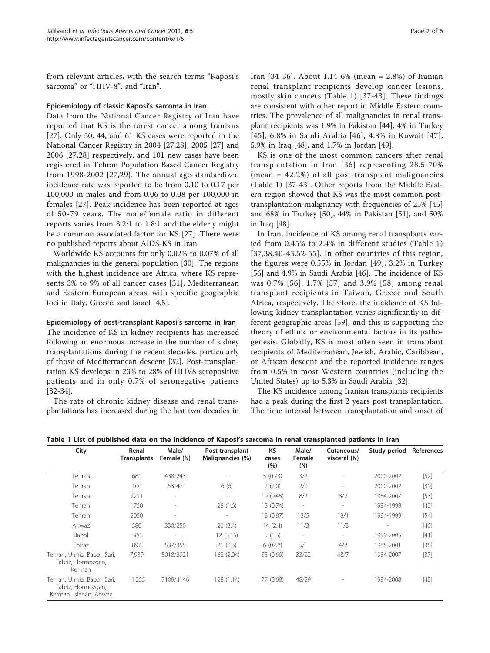<span id="page-1-0"></span>from relevant articles, with the search terms "Kaposi's sarcoma" or "HHV-8", and "Iran".

# Epidemiology of classic Kaposi's sarcoma in Iran

Data from the National Cancer Registry of Iran have reported that KS is the rarest cancer among Iranians [[27\]](#page-4-0). Only 50, 44, and 61 KS cases were reported in the National Cancer Registry in 2004 [[27,28\]](#page-4-0), 2005 [[27\]](#page-4-0) and 2006 [\[27](#page-4-0),[28\]](#page-4-0) respectively, and 101 new cases have been registered in Tehran Population Based Cancer Registry from 1998-2002 [[27](#page-4-0),[29\]](#page-4-0). The annual age-standardized incidence rate was reported to be from 0.10 to 0.17 per 100,000 in males and from 0.06 to 0.08 per 100,000 in females [[27](#page-4-0)]. Peak incidence has been reported at ages of 50-79 years. The male/female ratio in different reports varies from 3.2:1 to 1.8:1 and the elderly might be a common associated factor for KS [[27](#page-4-0)]. There were no published reports about AIDS-KS in Iran.

Worldwide KS accounts for only 0.02% to 0.07% of all malignancies in the general population [\[30\]](#page-4-0). The regions with the highest incidence are Africa, where KS represents 3% to 9% of all cancer cases [\[31](#page-4-0)], Mediterranean and Eastern European areas, with specific geographic foci in Italy, Greece, and Israel [\[4,5](#page-3-0)].

# Epidemiology of post-transplant Kaposi's sarcoma in Iran

The incidence of KS in kidney recipients has increased following an enormous increase in the number of kidney transplantations during the recent decades, particularly of those of Mediterranean descent [[32\]](#page-4-0). Post-transplantation KS develops in 23% to 28% of HHV8 seropositive patients and in only 0.7% of seronegative patients [[32-34\]](#page-4-0).

The rate of chronic kidney disease and renal transplantations has increased during the last two decades in Iran [\[34-36](#page-4-0)]. About 1.14-6% (mean = 2.8%) of Iranian renal transplant recipients develop cancer lesions, mostly skin cancers (Table 1) [[37](#page-4-0)-[43\]](#page-4-0). These findings are consistent with other report in Middle Eastern countries. The prevalence of all malignancies in renal transplant recipients was 1.9% in Pakistan [\[44](#page-4-0)], 4% in Turkey [[45\]](#page-4-0), 6.8% in Saudi Arabia [\[46\]](#page-4-0), 4.8% in Kuwait [\[47\]](#page-4-0), 5.9% in Iraq [[48](#page-4-0)], and 1.7% in Jordan [[49](#page-4-0)].

KS is one of the most common cancers after renal transplantation in Iran [[36](#page-4-0)] representing 28.5-70% (mean = 42.2%) of all post-transplant malignancies (Table 1) [[37](#page-4-0)-[43\]](#page-4-0). Other reports from the Middle Eastern region showed that KS was the most common posttransplantation malignancy with frequencies of 25% [[45](#page-4-0)] and 68% in Turkey [[50\]](#page-4-0), 44% in Pakistan [\[51](#page-4-0)], and 50% in Iraq [[48\]](#page-4-0).

In Iran, incidence of KS among renal transplants varied from 0.45% to 2.4% in different studies (Table 1) [[37,38](#page-4-0),[40](#page-4-0)-[43](#page-4-0),[52-55](#page-4-0)]. In other countries of this region, the figures were 0.55% in Jordan [\[49\]](#page-4-0), 3.2% in Turkey [[56\]](#page-4-0) and 4.9% in Saudi Arabia [[46](#page-4-0)]. The incidence of KS was 0.7% [[56\]](#page-4-0), 1.7% [[57\]](#page-4-0) and 3.9% [[58\]](#page-5-0) among renal transplant recipients in Taiwan, Greece and South Africa, respectively. Therefore, the incidence of KS following kidney transplantation varies significantly in different geographic areas [[59\]](#page-5-0), and this is supporting the theory of ethnic or environmental factors in its pathogenesis. Globally, KS is most often seen in transplant recipients of Mediterranean, Jewish, Arabic, Caribbean, or African descent and the reported incidence ranges from 0.5% in most Western countries (including the United States) up to 5.3% in Saudi Arabia [\[32](#page-4-0)].

The KS incidence among Iranian transplants recipients had a peak during the first 2 years post transplantation. The time interval between transplantation and onset of

| City                                                                        | Renal<br><b>Transplants</b> | Male/<br>Female (N)      | Post-transplant<br>Malignancies (%) | <b>KS</b><br>cases<br>(%) | Male/<br>Female<br>(N)   | Cutaneous/<br>visceral (N) | Study period | References |
|-----------------------------------------------------------------------------|-----------------------------|--------------------------|-------------------------------------|---------------------------|--------------------------|----------------------------|--------------|------------|
| Tehran                                                                      | 681                         | 438/243                  |                                     | 5(0.73)                   | 3/2                      |                            | 2000-2002    | $[52]$     |
| Tehran                                                                      | 100                         | 53/47                    | 6(6)                                | 2(2.0)                    | 2/0                      | $\overline{\phantom{a}}$   | 2000-2002    | $[39]$     |
| Tehran                                                                      | 2211                        |                          |                                     | 10(0.45)                  | 8/2                      | 8/2                        | 1984-2007    | $[53]$     |
| Tehran                                                                      | 1750                        |                          | 28(1.6)                             | 13(0.74)                  | $\overline{\phantom{a}}$ | $\overline{\phantom{a}}$   | 1984-1999    | $[42]$     |
| Tehran                                                                      | 2050                        | $\overline{\phantom{a}}$ | $\overline{\phantom{a}}$            | 18 (0.87)                 | 13/5                     | 18/1                       | 1984-1999    | $[54]$     |
| Ahwaz                                                                       | 580                         | 330/250                  | 20(3.4)                             | 14(2.4)                   | 11/3                     | 11/3                       |              | $[40]$     |
| Babol                                                                       | 380                         | $\overline{\phantom{a}}$ | 12(3.15)                            | 5(1.3)                    | $\overline{\phantom{a}}$ | $\overline{\phantom{a}}$   | 1999-2005    | $[41]$     |
| Shiraz                                                                      | 892                         | 537/355                  | 21(2.3)                             | 6(0.68)                   | 5/1                      | 4/2                        | 1988-2001    | $[38]$     |
| Tehran, Urmia, Babol, Sari,<br>Tabriz, Hormozgan,<br>Kerman                 | 7,939                       | 5018/2921                | 162 (2.04)                          | 55 (0.69)                 | 33/22                    | 48/7                       | 1984-2007    | $[37]$     |
| Tehran, Urmia, Babol, Sari,<br>Tabriz, Hormozgan,<br>Kerman, Isfahan, Ahwaz | 11,255                      | 7109/4146                | 128 (1.14)                          | 77 (0.68)                 | 48/29                    |                            | 1984-2008    | $[43]$     |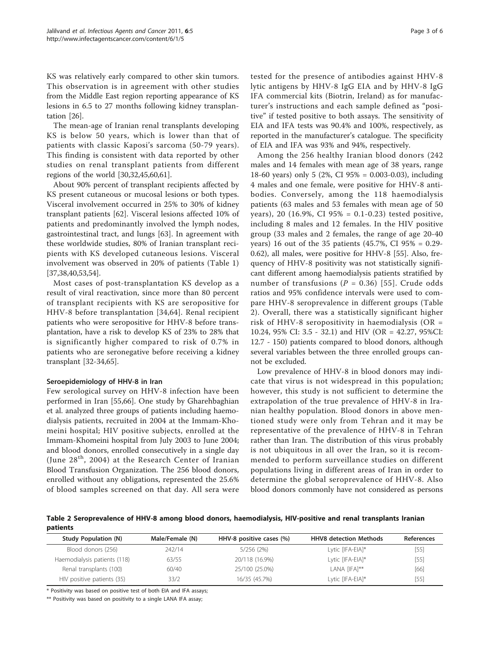<span id="page-2-0"></span>KS was relatively early compared to other skin tumors. This observation is in agreement with other studies from the Middle East region reporting appearance of KS lesions in 6.5 to 27 months following kidney transplantation [[26\]](#page-4-0).

The mean-age of Iranian renal transplants developing KS is below 50 years, which is lower than that of patients with classic Kaposi's sarcoma (50-79 years). This finding is consistent with data reported by other studies on renal transplant patients from different regions of the world [\[30,32,45,](#page-4-0)[60,61\]](#page-5-0).

About 90% percent of transplant recipients affected by KS present cutaneous or mucosal lesions or both types. Visceral involvement occurred in 25% to 30% of kidney transplant patients [[62\]](#page-5-0). Visceral lesions affected 10% of patients and predominantly involved the lymph nodes, gastrointestinal tract, and lungs [\[63](#page-5-0)]. In agreement with these worldwide studies, 80% of Iranian transplant recipients with KS developed cutaneous lesions. Visceral involvement was observed in 20% of patients (Table [1](#page-1-0)) [[37,38,40](#page-4-0),[53,54](#page-4-0)].

Most cases of post-transplantation KS develop as a result of viral reactivation, since more than 80 percent of transplant recipients with KS are seropositive for HHV-8 before transplantation [[34,](#page-4-0)[64\]](#page-5-0). Renal recipient patients who were seropositive for HHV-8 before transplantation, have a risk to develop KS of 23% to 28% that is significantly higher compared to risk of 0.7% in patients who are seronegative before receiving a kidney transplant [\[32-34](#page-4-0)[,65](#page-5-0)].

# Seroepidemiology of HHV-8 in Iran

Few serological survey on HHV-8 infection have been performed in Iran [[55,](#page-4-0)[66\]](#page-5-0). One study by Gharehbaghian et al. analyzed three groups of patients including haemodialysis patients, recruited in 2004 at the Immam-Khomeini hospital; HIV positive subjects, enrolled at the Immam-Khomeini hospital from July 2003 to June 2004; and blood donors, enrolled consecutively in a single day (June  $28<sup>th</sup>$ , 2004) at the Research Center of Iranian Blood Transfusion Organization. The 256 blood donors, enrolled without any obligations, represented the 25.6% of blood samples screened on that day. All sera were

tested for the presence of antibodies against HHV-8 lytic antigens by HHV-8 IgG EIA and by HHV-8 IgG IFA commercial kits (Biotrin, Ireland) as for manufacturer's instructions and each sample defined as "positive" if tested positive to both assays. The sensitivity of EIA and IFA tests was 90.4% and 100%, respectively, as reported in the manufacturer's catalogue. The specificity

of EIA and IFA was 93% and 94%, respectively.

Among the 256 healthy Iranian blood donors (242 males and 14 females with mean age of 38 years, range 18-60 years) only 5 (2%, CI 95% = 0.003-0.03), including 4 males and one female, were positive for HHV-8 antibodies. Conversely, among the 118 haemodialysis patients (63 males and 53 females with mean age of 50 years), 20 (16.9%, CI 95% = 0.1-0.23) tested positive, including 8 males and 12 females. In the HIV positive group (33 males and 2 females, the range of age 20-40 years) 16 out of the 35 patients (45.7%, CI 95% = 0.29- 0.62), all males, were positive for HHV-8 [[55](#page-4-0)]. Also, frequency of HHV-8 positivity was not statistically significant different among haemodialysis patients stratified by number of transfusions ( $P = 0.36$ ) [[55](#page-4-0)]. Crude odds ratios and 95% confidence intervals were used to compare HHV-8 seroprevalence in different groups (Table 2). Overall, there was a statistically significant higher risk of HHV-8 seropositivity in haemodialysis ( $OR =$ 10.24, 95% CI: 3.5 - 32.1) and HIV (OR = 42.27, 95%CI: 12.7 - 150) patients compared to blood donors, although several variables between the three enrolled groups cannot be excluded.

Low prevalence of HHV-8 in blood donors may indicate that virus is not widespread in this population; however, this study is not sufficient to determine the extrapolation of the true prevalence of HHV-8 in Iranian healthy population. Blood donors in above mentioned study were only from Tehran and it may be representative of the prevalence of HHV-8 in Tehran rather than Iran. The distribution of this virus probably is not ubiquitous in all over the Iran, so it is recommended to perform surveillance studies on different populations living in different areas of Iran in order to determine the global seroprevalence of HHV-8. Also blood donors commonly have not considered as persons

Table 2 Seroprevalence of HHV-8 among blood donors, haemodialysis, HIV-positive and renal transplants Iranian patients

| <b>Study Population (N)</b>  | Male/Female (N) | HHV-8 positive cases (%) | <b>HHV8</b> detection Methods | <b>References</b> |
|------------------------------|-----------------|--------------------------|-------------------------------|-------------------|
| Blood donors (256)           | 242/14          | $5/256$ (2%)             | Lytic [IFA-EIA]*              | $[55]$            |
| Haemodialysis patients (118) | 63/55           | 20/118 (16.9%)           | Lytic [IFA-EIA]*              | $[55]$            |
| Renal transplants (100)      | 60/40           | 25/100 (25.0%)           | LANA [IFA]**                  | [66]              |
| HIV positive patients (35)   | 33/2            | 16/35 (45.7%)            | Lytic [IFA-EIA]*              | $[55]$            |

\* Positivity was based on positive test of both EIA and IFA assays;

\*\* Positivity was based on positivity to a single LANA IFA assay;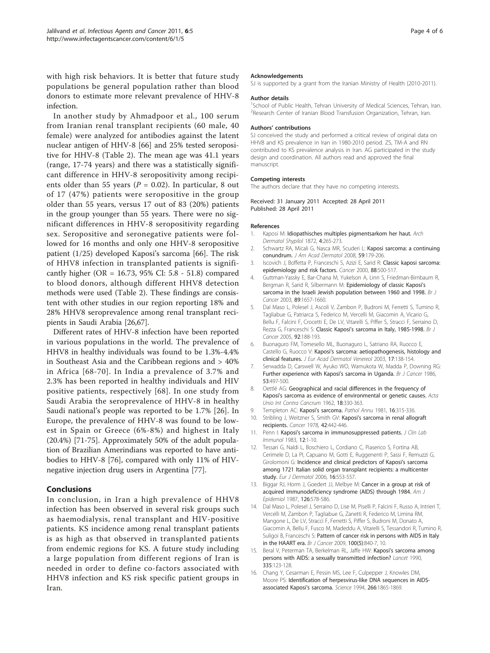<span id="page-3-0"></span>with high risk behaviors. It is better that future study populations be general population rather than blood donors to estimate more relevant prevalence of HHV-8 infection.

In another study by Ahmadpoor et al., 100 serum from Iranian renal transplant recipients (60 male, 40 female) were analyzed for antibodies against the latent nuclear antigen of HHV-8 [\[66](#page-5-0)] and 25% tested seropositive for HHV-8 (Table [2](#page-2-0)). The mean age was 41.1 years (range, 17-74 years) and there was a statistically significant difference in HHV-8 seropositivity among recipients older than 55 years ( $P = 0.02$ ). In particular, 8 out of 17 (47%) patients were seropositive in the group older than 55 years, versus 17 out of 83 (20%) patients in the group younger than 55 years. There were no significant differences in HHV-8 seropositivity regarding sex. Seropositive and seronegative patients were followed for 16 months and only one HHV-8 seropositive patient (1/25) developed Kaposi's sarcoma [[66](#page-5-0)]. The risk of HHV8 infection in transplanted patients is significantly higher (OR = 16.73, 95% CI: 5.8 - 51.8) compared to blood donors, although different HHV8 detection methods were used (Table [2](#page-2-0)). These findings are consistent with other studies in our region reporting 18% and 28% HHV8 seroprevalence among renal transplant recipients in Saudi Arabia [\[26](#page-4-0)[,67](#page-5-0)].

Different rates of HHV-8 infection have been reported in various populations in the world. The prevalence of HHV8 in healthy individuals was found to be 1.3%-4.4% in Southeast Asia and the Caribbean regions and > 40% in Africa [[68](#page-5-0)-[70\]](#page-5-0). In India a prevalence of 3.7% and 2.3% has been reported in healthy individuals and HIV positive patients, respectively [\[68\]](#page-5-0). In one study from Saudi Arabia the seroprevalence of HHV-8 in healthy Saudi national's people was reported to be 1.7% [\[26](#page-4-0)]. In Europe, the prevalence of HHV-8 was found to be lowest in Spain or Greece (6%-8%) and highest in Italy (20.4%) [\[71-75](#page-5-0)]. Approximately 50% of the adult population of Brazilian Amerindians was reported to have antibodies to HHV-8 [\[76](#page-5-0)], compared with only 11% of HIVnegative injection drug users in Argentina [\[77\]](#page-5-0).

# Conclusions

In conclusion, in Iran a high prevalence of HHV8 infection has been observed in several risk groups such as haemodialysis, renal transplant and HIV-positive patients. KS incidence among renal transplant patients is as high as that observed in transplanted patients from endemic regions for KS. A future study including a large population from different regions of Iran is needed in order to define co-factors associated with HHV8 infection and KS risk specific patient groups in Iran.

#### Acknowledgements

SJ is supported by a grant from the Iranian Ministry of Health (2010-2011).

#### Author details

<sup>1</sup>School of Public Health, Tehran University of Medical Sciences, Tehran, Iran. <sup>2</sup>Research Center of Iranian Blood Transfusion Organization, Tehran, Iran

#### Authors' contributions

SJ conceived the study and performed a critical review of original data on HHV8 and KS prevalence in Iran in 1980-2010 period. ZS, TM-A and RN contributed to KS prevalence analysis in Iran. AG participated in the study design and coordination. All authors read and approved the final manuscript.

#### Competing interests

The authors declare that they have no competing interests.

#### Received: 31 January 2011 Accepted: 28 April 2011 Published: 28 April 2011

#### References

- Kaposi M: Idiopathisches multiples pigmentsarkom her haut. Arch Dermatol Shypilol 1872, 4:265-273.
- 2. Schwartz RA, Micali G, Nasca MR, Scuderi L: [Kaposi sarcoma: a continuing](http://www.ncbi.nlm.nih.gov/pubmed/18638627?dopt=Abstract) [conundrum.](http://www.ncbi.nlm.nih.gov/pubmed/18638627?dopt=Abstract) J Am Acad Dermatol 2008, 59:179-206.
- Iscovich J, Boffetta P, Franceschi S, Azizi E, Sarid R: [Classic kaposi sarcoma:](http://www.ncbi.nlm.nih.gov/pubmed/10649240?dopt=Abstract) [epidemiology and risk factors.](http://www.ncbi.nlm.nih.gov/pubmed/10649240?dopt=Abstract) Cancer 2000, 88:500-517.
- 4. Guttman-Yassky E, Bar-Chana M, Yukelson A, Linn S, Friedman-Birnbaum R, Bergman R, Sarid R, Silbermann M: [Epidemiology of classic Kaposi](http://www.ncbi.nlm.nih.gov/pubmed/14583765?dopt=Abstract)'s [sarcoma in the Israeli Jewish population between 1960 and 1998.](http://www.ncbi.nlm.nih.gov/pubmed/14583765?dopt=Abstract) Br J Cancer 2003, 89:1657-1660
- 5. Dal Maso L, Polesel J, Ascoli V, Zambon P, Budroni M, Ferretti S, Tumino R, Tagliabue G, Patriarca S, Federico M, Vercelli M, Giacomin A, Vicario G, Bellu F, Falcini F, Crocetti E, De LV, Vitarelli S, Piffer S, Stracci F, Serraino D, Rezza G, Franceschi S: Classic Kaposi'[s sarcoma in Italy, 1985-1998.](http://www.ncbi.nlm.nih.gov/pubmed/15570306?dopt=Abstract) Br J Cancer 2005, 92:188-193.
- 6. Buonaguro FM, Tomesello ML, Buonaguro L, Satriano RA, Ruocco E, Castello G, Ruocco V: Kaposi'[s sarcoma: aetiopathogenesis, histology and](http://www.ncbi.nlm.nih.gov/pubmed/12705742?dopt=Abstract) [clinical features.](http://www.ncbi.nlm.nih.gov/pubmed/12705742?dopt=Abstract) J Eur Acad Dermatol Venereol 2003, 17:138-154.
- 7. Serwadda D, Carswell W, Ayuko WO, Wamukota W, Madda P, Downing RG: [Further experience with Kaposi](http://www.ncbi.nlm.nih.gov/pubmed/3011052?dopt=Abstract)'s sarcoma in Uganda. Br J Cancer 1986, 53:497-500.
- 8. Oettlé AG: [Geographical and racial differences in the frequency of](http://www.ncbi.nlm.nih.gov/pubmed/14481196?dopt=Abstract) Kaposi'[s sarcoma as evidence of environmental or genetic causes.](http://www.ncbi.nlm.nih.gov/pubmed/14481196?dopt=Abstract) Acta Unio Int Contra Cancrum 1962, 18:330-363.
- 9. Templeton AC: Kaposi'[s sarcoma.](http://www.ncbi.nlm.nih.gov/pubmed/7036065?dopt=Abstract) Pathol Annu 1981, 16:315-336.
- 10. Stribling J, Weitzner S, Smith GV: Kaposi'[s sarcoma in renal allograft](http://www.ncbi.nlm.nih.gov/pubmed/354767?dopt=Abstract) [recipients.](http://www.ncbi.nlm.nih.gov/pubmed/354767?dopt=Abstract) Cancer 1978, 42:442-446.
- 11. Penn I: Kaposi'[s sarcoma in immunosuppressed patients.](http://www.ncbi.nlm.nih.gov/pubmed/6355477?dopt=Abstract) J Clin Lab Immunol 1983, 12:1-10.
- 12. Tessari G, Naldi L, Boschiero L, Cordiano C, Piaserico S, Fortina AB, Cerimele D, La PI, Capuano M, Gotti E, Ruggenenti P, Sassi F, Remuzzi G, Girolomoni G: [Incidence and clinical predictors of Kaposi](http://www.ncbi.nlm.nih.gov/pubmed/17101478?dopt=Abstract)'s sarcoma [among 1721 Italian solid organ transplant recipients: a multicenter](http://www.ncbi.nlm.nih.gov/pubmed/17101478?dopt=Abstract) [study.](http://www.ncbi.nlm.nih.gov/pubmed/17101478?dopt=Abstract) Eur J Dermatol 2006, 16:553-557.
- 13. Biggar RJ, Horm J, Goedert JJ, Melbye M: [Cancer in a group at risk of](http://www.ncbi.nlm.nih.gov/pubmed/3631049?dopt=Abstract) [acquired immunodeficiency syndrome \(AIDS\) through 1984.](http://www.ncbi.nlm.nih.gov/pubmed/3631049?dopt=Abstract) Am J Epidemiol 1987, 126:578-586.
- 14. Dal Maso L, Polesel J, Serraino D, Lise M, Piselli P, Falcini F, Russo A, Intrieri T, Vercelli M, Zambon P, Tagliabue G, Zanetti R, Federico M, Limina RM, Mangone L, De LV, Stracci F, Ferretti S, Piffer S, Budroni M, Donato A, Giacomin A, Bellu F, Fusco M, Madeddu A, Vitarelli S, Tessandori R, Tumino R, Suligoi B, Franceschi S: [Pattern of cancer risk in persons with AIDS in Italy](http://www.ncbi.nlm.nih.gov/pubmed/19223894?dopt=Abstract) [in the HAART era.](http://www.ncbi.nlm.nih.gov/pubmed/19223894?dopt=Abstract) Br J Cancer 2009, 100(5):840-7, 10.
- 15. Beral V, Peterman TA, Berkelman RL, Jaffe HW: Kaposi'[s sarcoma among](http://www.ncbi.nlm.nih.gov/pubmed/1967430?dopt=Abstract) [persons with AIDS: a sexually transmitted infection?](http://www.ncbi.nlm.nih.gov/pubmed/1967430?dopt=Abstract) Lancet 1990, 335:123-128.
- 16. Chang Y, Cesarman E, Pessin MS, Lee F, Culpepper J, Knowles DM, Moore PS: [Identification of herpesvirus-like DNA sequences in AIDS](http://www.ncbi.nlm.nih.gov/pubmed/7997879?dopt=Abstract)[associated Kaposi](http://www.ncbi.nlm.nih.gov/pubmed/7997879?dopt=Abstract)'s sarcoma. Science 1994, 266:1865-1869.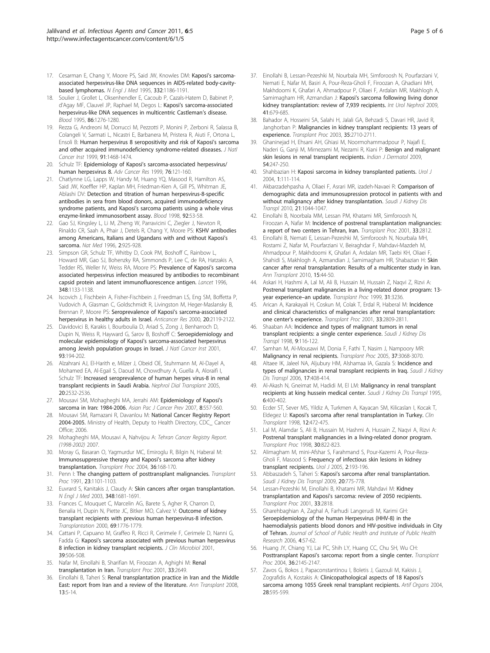- <span id="page-4-0"></span>17. Cesarman E, Chang Y, Moore PS, Said JW, Knowles DM: Kaposi'[s sarcoma](http://www.ncbi.nlm.nih.gov/pubmed/7700311?dopt=Abstract)[associated herpesvirus-like DNA sequences in AIDS-related body-cavity](http://www.ncbi.nlm.nih.gov/pubmed/7700311?dopt=Abstract)[based lymphomas.](http://www.ncbi.nlm.nih.gov/pubmed/7700311?dopt=Abstract) N Engl J Med 1995, 332:1186-1191.
- 18. Soulier J, Grollet L, Oksenhendler E, Cacoub P, Cazals-Hatem D, Babinet P, d'Agay MF, Clauvel JP, Raphael M, Degos L: Kaposi'[s sarcoma-associated](http://www.ncbi.nlm.nih.gov/pubmed/7632932?dopt=Abstract) [herpesvirus-like DNA sequences in multicentric Castleman](http://www.ncbi.nlm.nih.gov/pubmed/7632932?dopt=Abstract)'s disease. Blood 1995, 86:1276-1280.
- 19. Rezza G, Andreoni M, Dorrucci M, Pezzotti P, Monini P, Zerboni R, Salassa B, Colangeli V, Sarmati L, Nicastri E, Barbanera M, Pristera R, Aiuti F, Ortona L, Ensoli B: [Human herpesvirus 8 seropositivity and risk of Kaposi](http://www.ncbi.nlm.nih.gov/pubmed/10469747?dopt=Abstract)'s sarcoma [and other acquired immunodeficiency syndrome-related diseases.](http://www.ncbi.nlm.nih.gov/pubmed/10469747?dopt=Abstract) J Natl Cancer Inst 1999, 91:1468-1474.
- 20. Schulz TF: Epidemiology of Kaposi'[s sarcoma-associated herpesvirus/](http://www.ncbi.nlm.nih.gov/pubmed/10218100?dopt=Abstract) [human herpesvirus 8.](http://www.ncbi.nlm.nih.gov/pubmed/10218100?dopt=Abstract) Adv Cancer Res 1999, 76:121-160.
- 21. Chatlynne LG, Lapps W, Handy M, Huang YQ, Masood R, Hamilton AS, Said JW, Koeffler HP, Kaplan MH, Friedman-Kien A, Gill PS, Whitman JE, Ablashi DV: [Detection and titration of human herpesvirus-8-specific](http://www.ncbi.nlm.nih.gov/pubmed/9639499?dopt=Abstract) [antibodies in sera from blood donors, acquired immunodeficiency](http://www.ncbi.nlm.nih.gov/pubmed/9639499?dopt=Abstract) syndrome patients, and Kaposi'[s sarcoma patients using a whole virus](http://www.ncbi.nlm.nih.gov/pubmed/9639499?dopt=Abstract) [enzyme-linked immunosorbent assay.](http://www.ncbi.nlm.nih.gov/pubmed/9639499?dopt=Abstract) Blood 1998, 92:53-58.
- 22. Gao SJ, Kingsley L, Li M, Zheng W, Parravicini C, Ziegler J, Newton R, Rinaldo CR, Saah A, Phair J, Detels R, Chang Y, Moore PS: [KSHV antibodies](http://www.ncbi.nlm.nih.gov/pubmed/8705864?dopt=Abstract) [among Americans, Italians and Ugandans with and without Kaposi](http://www.ncbi.nlm.nih.gov/pubmed/8705864?dopt=Abstract)'s [sarcoma.](http://www.ncbi.nlm.nih.gov/pubmed/8705864?dopt=Abstract) Nat Med 1996, 2:925-928.
- 23. Simpson GR, Schulz TF, Whitby D, Cook PM, Boshoff C, Rainbow L, Howard MR, Gao SJ, Bohenzky RA, Simmonds P, Lee C, de RA, Hatzakis A, Tedder RS, Weller IV, Weiss RA, Moore PS: [Prevalence of Kaposi](http://www.ncbi.nlm.nih.gov/pubmed/8888167?dopt=Abstract)'s sarcoma [associated herpesvirus infection measured by antibodies to recombinant](http://www.ncbi.nlm.nih.gov/pubmed/8888167?dopt=Abstract) [capsid protein and latent immunofluorescence antigen.](http://www.ncbi.nlm.nih.gov/pubmed/8888167?dopt=Abstract) Lancet 1996, 348:1133-1138.
- 24. Iscovich J, Fischbein A, Fisher-Fischbein J, Freedman LS, Eng SM, Boffetta P, Vudovich A, Glasman C, Goldschmidt R, Livingston M, Heger-Maslansky B, Brennan P, Moore PS: [Seroprevalence of Kaposi](http://www.ncbi.nlm.nih.gov/pubmed/10928163?dopt=Abstract)'s sarcoma-associated [herpesvirus in healthy adults in Israel.](http://www.ncbi.nlm.nih.gov/pubmed/10928163?dopt=Abstract) Anticancer Res 2000, 20:2119-2122.
- 25. Davidovici B, Karakis I, Bourboulia D, Ariad S, Zong J, Benharroch D, Dupin N, Weiss R, Hayward G, Sarov B, Boshoff C: [Seroepidemiology and](http://www.ncbi.nlm.nih.gov/pubmed/11158187?dopt=Abstract) [molecular epidemiology of Kaposi](http://www.ncbi.nlm.nih.gov/pubmed/11158187?dopt=Abstract)'s sarcoma-associated herpesvirus [among Jewish population groups in Israel.](http://www.ncbi.nlm.nih.gov/pubmed/11158187?dopt=Abstract) J Natl Cancer Inst 2001, 93:194-202.
- 26. Alzahrani AJ, El-Harith e, Milzer J, Obeid OE, Stuhrmann M, Al-Dayel A, Mohamed EA, Al-Egail S, Daoud M, Chowdhury A, Guella A, Aloraifi I, Schulz TF: [Increased seroprevalence of human herpes virus-8 in renal](http://www.ncbi.nlm.nih.gov/pubmed/16115855?dopt=Abstract) [transplant recipients in Saudi Arabia.](http://www.ncbi.nlm.nih.gov/pubmed/16115855?dopt=Abstract) Nephrol Dial Transplant 2005, 20:2532-2536.
- 27. Mousavi SM, Mohagheghi MA, Jerrahi AM: [Epidemiology of Kaposi](http://www.ncbi.nlm.nih.gov/pubmed/18260728?dopt=Abstract)'s [sarcoma in Iran: 1984-2006.](http://www.ncbi.nlm.nih.gov/pubmed/18260728?dopt=Abstract) Asian Pac J Cancer Prev 2007, 8:557-560.
- 28. Mousavi SM, Ramazani R, Davanlou M: National Cancer Registry Report 2004-2005. Ministry of Health, Deputy to Health Directory, CDC\_ Cancer Office; 2006.
- 29. Mohagheghi MA, Mousavi A, Nahvijou A: Tehran Cancer Registry Report. (1998-2002) 2007.
- 30. Moray G, Basaran O, Yagmurdur MC, Emiroglu R, Bilgin N, Haberal M: [Immunosuppressive therapy and Kaposi](http://www.ncbi.nlm.nih.gov/pubmed/15013336?dopt=Abstract)'s sarcoma after kidney [transplantation.](http://www.ncbi.nlm.nih.gov/pubmed/15013336?dopt=Abstract) Transplant Proc 2004, 36:168-170.
- 31. Penn I: [The changing pattern of posttransplant malignancies.](http://www.ncbi.nlm.nih.gov/pubmed/1899153?dopt=Abstract) Transplant Proc 1991, 23:1101-1103.
- 32. Euvrard S, Kanitakis J, Claudy A: [Skin cancers after organ transplantation.](http://www.ncbi.nlm.nih.gov/pubmed/12711744?dopt=Abstract) N Engl J Med 2003, 348:1681-1691.
- 33. Frances C, Mouquet C, Marcelin AG, Barete S, Agher R, Charron D, Benalia H, Dupin N, Piette JC, Bitker MO, Calvez V: [Outcome of kidney](http://www.ncbi.nlm.nih.gov/pubmed/10830210?dopt=Abstract) [transplant recipients with previous human herpesvirus-8 infection.](http://www.ncbi.nlm.nih.gov/pubmed/10830210?dopt=Abstract) Transplantation 2000, 69:1776-1779.
- 34. Cattani P, Capuano M, Graffeo R, Ricci R, Cerimele F, Cerimele D, Nanni G, Fadda G: Kaposi'[s sarcoma associated with previous human herpesvirus](http://www.ncbi.nlm.nih.gov/pubmed/11158097?dopt=Abstract) [8 infection in kidney transplant recipients.](http://www.ncbi.nlm.nih.gov/pubmed/11158097?dopt=Abstract) J Clin Microbiol 2001, 39:506-508.
- 35. Nafar M, Einollahi B, Sharifian M, Firoozan A, Aghighi M: [Renal](http://www.ncbi.nlm.nih.gov/pubmed/11498106?dopt=Abstract) [transplantation in Iran.](http://www.ncbi.nlm.nih.gov/pubmed/11498106?dopt=Abstract) Transplant Proc 2001, 33:2649.
- 36. Einollahi B, Taheri S: [Renal transplantation practice in Iran and the Middle](http://www.ncbi.nlm.nih.gov/pubmed/19034217?dopt=Abstract) [East: report from Iran and a review of the literature.](http://www.ncbi.nlm.nih.gov/pubmed/19034217?dopt=Abstract) Ann Transplant 2008, 13:5-14.
- 37. Einollahi B, Lessan-Pezeshki M, Nourbala MH, Simforoosh N, Pourfarziani V, Nemati E, Nafar M, Basiri A, Pour-Reza-Gholi F, Firoozan A, Ghadiani MH, Makhdoomi K, Ghafari A, Ahmadpour P, Oliaei F, Ardalan MR, Makhlogh A, Samimagham HR, Azmandian J: Kaposi'[s sarcoma following living donor](http://www.ncbi.nlm.nih.gov/pubmed/19009366?dopt=Abstract) [kidney transplantation: review of 7,939 recipients.](http://www.ncbi.nlm.nih.gov/pubmed/19009366?dopt=Abstract) Int Urol Nephrol 2009, 41:679-685.
- 38. Bahador A, Hosseini SA, Salahi H, Jalali GA, Behzadi S, Davari HR, Javid R, Janghorban P: [Malignancies in kidney transplant recipients: 13 years of](http://www.ncbi.nlm.nih.gov/pubmed/14612085?dopt=Abstract) [experience.](http://www.ncbi.nlm.nih.gov/pubmed/14612085?dopt=Abstract) Transplant Proc 2003, 35:2710-2711.
- 39. Ghaninejad H, Ehsani AH, Ghiasi M, Noormohammadpour P, Najafi E, Naderi G, Ganji M, Mirnezami M, Nezami R, Kiani P: [Benign and malignant](http://www.ncbi.nlm.nih.gov/pubmed/20161856?dopt=Abstract) [skin lesions in renal transplant recipients.](http://www.ncbi.nlm.nih.gov/pubmed/20161856?dopt=Abstract) Indian J Dermatol 2009, 54:247-250.
- 40. Shahbazian H: Kaposi [sarcoma in kidney transplanted patients.](http://www.ncbi.nlm.nih.gov/pubmed/17874397?dopt=Abstract) Urol J 2004, 1:111-114.
- 41. Akbarzadehpasha A, Oliaei F, Asrari MR, izadeh-Navaei R: [Comparison of](http://www.ncbi.nlm.nih.gov/pubmed/21060171?dopt=Abstract) [demographic data and immunosupression protocol in patients with and](http://www.ncbi.nlm.nih.gov/pubmed/21060171?dopt=Abstract) [without malignancy after kidney transplantation.](http://www.ncbi.nlm.nih.gov/pubmed/21060171?dopt=Abstract) Saudi J Kidney Dis Transpl 2010, 21:1044-1047.
- 42. Einollahi B, Noorbala MM, Lessan PM, Khatami MR, Simforoosh N, Firoozan A, Nafar M: [Incidence of postrenal transplantation malignancies:](http://www.ncbi.nlm.nih.gov/pubmed/11498168?dopt=Abstract) [a report of two centers in Tehran, Iran.](http://www.ncbi.nlm.nih.gov/pubmed/11498168?dopt=Abstract) Transplant Proc 2001, 33:2812.
- 43. Einollahi B, Nemati E, Lessan-Pezeshki M, Simforoosh N, Nourbala MH, Rostami Z, Nafar M, Pourfarziani V, Beiraghdar F, Mahdavi-Mazdeh M, Ahmadpour P, Makhdoomi K, Ghafari A, Ardalan MR, Taebi KH, Oliaei F, Shahidi S, Makhlogh A, Azmandian J, Samimagham HR, Shabazian H: [Skin](http://www.ncbi.nlm.nih.gov/pubmed/21183875?dopt=Abstract) [cancer after renal transplantation: Results of a multicenter study in Iran.](http://www.ncbi.nlm.nih.gov/pubmed/21183875?dopt=Abstract) Ann Transplant 2010, 15:44-50.
- 44. Askari H, Hashmi A, Lal M, Ali B, Hussain M, Hussain Z, Naqvi Z, Rizvi A: [Postrenal transplant malignancies in a living-related donor program: 13](http://www.ncbi.nlm.nih.gov/pubmed/10616459?dopt=Abstract) [year experience](http://www.ncbi.nlm.nih.gov/pubmed/10616459?dopt=Abstract)-an update. Transplant Proc 1999, 31:3236.
- Arican A, Karakayali H, Coskun M, Colak T, Erdal R, Haberal M: [Incidence](http://www.ncbi.nlm.nih.gov/pubmed/11498167?dopt=Abstract) [and clinical characteristics of malignancies after renal transplantation:](http://www.ncbi.nlm.nih.gov/pubmed/11498167?dopt=Abstract) one center'[s experience.](http://www.ncbi.nlm.nih.gov/pubmed/11498167?dopt=Abstract) Transplant Proc 2001, 33:2809-2811.
- 46. Shaaban AA: [Incidence and types of malignant tumors in renal](http://www.ncbi.nlm.nih.gov/pubmed/18408285?dopt=Abstract) [transplant recipients: a single center experience.](http://www.ncbi.nlm.nih.gov/pubmed/18408285?dopt=Abstract) Saudi J Kidney Dis Transpl 1998, 9:116-122.
- 47. Samhan M, Al-Mousawi M, Donia F, Fathi T, Nasim J, Nampoory MR: [Malignancy in renal recipients.](http://www.ncbi.nlm.nih.gov/pubmed/16213307?dopt=Abstract) Transplant Proc 2005, 37:3068-3070.
- 48. Altaee IK, Jaleel NA, Aljubury HM, Alshamaa IA, Gazala S: [Incidence and](http://www.ncbi.nlm.nih.gov/pubmed/16970265?dopt=Abstract) [types of malignancies in renal transplant recipients in Iraq.](http://www.ncbi.nlm.nih.gov/pubmed/16970265?dopt=Abstract) Saudi J Kidney Dis Transpl 2006, 17:408-414.
- 49. Al-Akash N, Gneimat M, Hadidi M, El LM: [Malignancy in renal transplant](http://www.ncbi.nlm.nih.gov/pubmed/18583747?dopt=Abstract) [recipients at king hussein medical center.](http://www.ncbi.nlm.nih.gov/pubmed/18583747?dopt=Abstract) Saudi J Kidney Dis Transpl 1995, 6:400-402.
- 50. Ecder ST, Sever MS, Yildiz A, Turkmen A, Kayacan SM, Kilicaslan I, Kocak T, Eldegez U: Kaposi'[s sarcoma after renal transplantation in Turkey.](http://www.ncbi.nlm.nih.gov/pubmed/9787959?dopt=Abstract) Clin Transplant 1998, 12:472-475.
- 51. Lal M, Alamdar S, Ali B, Hussain M, Hashmi A, Hussain Z, Naqvi A, Rizvi A: [Postrenal transplant malignancies in a living-related donor program.](http://www.ncbi.nlm.nih.gov/pubmed/9595113?dopt=Abstract) Transplant Proc 1998, 30:822-823.
- 52. Alimagham M, mini-Afshar S, Farahmand S, Pour-Kazemi A, Pour-Reza-Gholi F, Masood S: [Frequency of infectious skin lesions in kidney](http://www.ncbi.nlm.nih.gov/pubmed/17602428?dopt=Abstract) [transplant recipients.](http://www.ncbi.nlm.nih.gov/pubmed/17602428?dopt=Abstract) Urol J 2005, 2:193-196.
- Abbaszadeh S, Taheri S: Kaposi'[s sarcoma after renal transplantation.](http://www.ncbi.nlm.nih.gov/pubmed/19736472?dopt=Abstract) Saudi J Kidney Dis Transpl 2009, 20:775-778.
- 54. Lessan-Pezeshki M, Einollahi B, Khatami MR, Mahdavi M: [Kidney](http://www.ncbi.nlm.nih.gov/pubmed/11498172?dopt=Abstract) transplantation and Kaposi'[s sarcoma: review of 2050 recipients.](http://www.ncbi.nlm.nih.gov/pubmed/11498172?dopt=Abstract) Transplant Proc 2001, 33:2818.
- 55. Gharehbaghian A, Zaghal A, Farhudi Langerudi M, Karimi GH: Seroepidemiology of the human Herpesvirus (HHV-8) in the haemodialysis patients blood donors and HIV-positive individuals in City of Tehran. Journal of School of Public Health and Institute of Public Health Research 2006, 4:57-62.
- 56. Huang JY, Chiang YJ, Lai PC, Shih LY, Huang CC, Chu SH, Wu CH: Posttransplant Kaposi'[s sarcoma: report from a single center.](http://www.ncbi.nlm.nih.gov/pubmed/15518778?dopt=Abstract) Transplant Proc 2004, 36:2145-2147.
- 57. Zavos G, Bokos J, Papaconstantinou I, Boletis J, Gazouli M, Kakisis J, Zografidis A, Kostakis A: [Clinicopathological aspects of 18 Kaposi](http://www.ncbi.nlm.nih.gov/pubmed/15153155?dopt=Abstract)'s [sarcoma among 1055 Greek renal transplant recipients.](http://www.ncbi.nlm.nih.gov/pubmed/15153155?dopt=Abstract) Artif Organs 2004, 28:595-599.